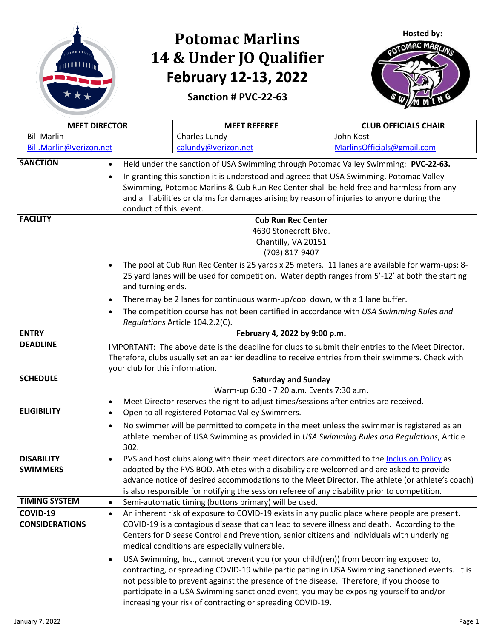

## **Potomac Marlins 14 & Under JO Qualifier February 12-13, 2022**





| <b>MEET DIRECTOR</b>                                                                                                 |                                                                                                                                                                                             | <b>MEET REFEREE</b>                                                                             | <b>CLUB OFFICIALS CHAIR</b> |  |  |
|----------------------------------------------------------------------------------------------------------------------|---------------------------------------------------------------------------------------------------------------------------------------------------------------------------------------------|-------------------------------------------------------------------------------------------------|-----------------------------|--|--|
| <b>Bill Marlin</b>                                                                                                   |                                                                                                                                                                                             | Charles Lundy                                                                                   | John Kost                   |  |  |
| Bill.Marlin@verizon.net                                                                                              |                                                                                                                                                                                             | calundy@verizon.net                                                                             | MarlinsOfficials@gmail.com  |  |  |
| <b>SANCTION</b>                                                                                                      | Held under the sanction of USA Swimming through Potomac Valley Swimming: PVC-22-63.<br>$\bullet$                                                                                            |                                                                                                 |                             |  |  |
|                                                                                                                      | $\bullet$                                                                                                                                                                                   | In granting this sanction it is understood and agreed that USA Swimming, Potomac Valley         |                             |  |  |
|                                                                                                                      | Swimming, Potomac Marlins & Cub Run Rec Center shall be held free and harmless from any                                                                                                     |                                                                                                 |                             |  |  |
|                                                                                                                      | and all liabilities or claims for damages arising by reason of injuries to anyone during the                                                                                                |                                                                                                 |                             |  |  |
|                                                                                                                      | conduct of this event.                                                                                                                                                                      |                                                                                                 |                             |  |  |
| <b>FACILITY</b>                                                                                                      | <b>Cub Run Rec Center</b>                                                                                                                                                                   |                                                                                                 |                             |  |  |
|                                                                                                                      | 4630 Stonecroft Blvd.<br>Chantilly, VA 20151<br>(703) 817-9407                                                                                                                              |                                                                                                 |                             |  |  |
|                                                                                                                      |                                                                                                                                                                                             |                                                                                                 |                             |  |  |
|                                                                                                                      |                                                                                                                                                                                             |                                                                                                 |                             |  |  |
|                                                                                                                      | The pool at Cub Run Rec Center is 25 yards x 25 meters. 11 lanes are available for warm-ups; 8-                                                                                             |                                                                                                 |                             |  |  |
| 25 yard lanes will be used for competition. Water depth ranges from 5'-12' at both the starting<br>and turning ends. |                                                                                                                                                                                             |                                                                                                 |                             |  |  |
|                                                                                                                      | There may be 2 lanes for continuous warm-up/cool down, with a 1 lane buffer.<br>$\bullet$                                                                                                   |                                                                                                 |                             |  |  |
|                                                                                                                      | The competition course has not been certified in accordance with USA Swimming Rules and<br>$\bullet$                                                                                        |                                                                                                 |                             |  |  |
|                                                                                                                      |                                                                                                                                                                                             | Regulations Article 104.2.2(C).                                                                 |                             |  |  |
| <b>ENTRY</b>                                                                                                         | February 4, 2022 by 9:00 p.m.                                                                                                                                                               |                                                                                                 |                             |  |  |
| <b>DEADLINE</b>                                                                                                      | IMPORTANT: The above date is the deadline for clubs to submit their entries to the Meet Director.                                                                                           |                                                                                                 |                             |  |  |
|                                                                                                                      | Therefore, clubs usually set an earlier deadline to receive entries from their swimmers. Check with                                                                                         |                                                                                                 |                             |  |  |
|                                                                                                                      | your club for this information.                                                                                                                                                             |                                                                                                 |                             |  |  |
| <b>SCHEDULE</b>                                                                                                      | <b>Saturday and Sunday</b>                                                                                                                                                                  |                                                                                                 |                             |  |  |
|                                                                                                                      | Warm-up 6:30 - 7:20 a.m. Events 7:30 a.m.                                                                                                                                                   |                                                                                                 |                             |  |  |
|                                                                                                                      | Meet Director reserves the right to adjust times/sessions after entries are received.<br>$\bullet$                                                                                          |                                                                                                 |                             |  |  |
| <b>ELIGIBILITY</b>                                                                                                   | $\bullet$                                                                                                                                                                                   | Open to all registered Potomac Valley Swimmers.                                                 |                             |  |  |
|                                                                                                                      | No swimmer will be permitted to compete in the meet unless the swimmer is registered as an<br>$\bullet$                                                                                     |                                                                                                 |                             |  |  |
|                                                                                                                      | athlete member of USA Swimming as provided in USA Swimming Rules and Regulations, Article                                                                                                   |                                                                                                 |                             |  |  |
|                                                                                                                      | 302.                                                                                                                                                                                        |                                                                                                 |                             |  |  |
| <b>DISABILITY</b><br><b>SWIMMERS</b>                                                                                 | PVS and host clubs along with their meet directors are committed to the Inclusion Policy as<br>$\bullet$                                                                                    |                                                                                                 |                             |  |  |
|                                                                                                                      | adopted by the PVS BOD. Athletes with a disability are welcomed and are asked to provide<br>advance notice of desired accommodations to the Meet Director. The athlete (or athlete's coach) |                                                                                                 |                             |  |  |
|                                                                                                                      |                                                                                                                                                                                             | is also responsible for notifying the session referee of any disability prior to competition.   |                             |  |  |
| <b>TIMING SYSTEM</b>                                                                                                 | $\bullet$                                                                                                                                                                                   | Semi-automatic timing (buttons primary) will be used.                                           |                             |  |  |
| COVID-19                                                                                                             | $\bullet$                                                                                                                                                                                   | An inherent risk of exposure to COVID-19 exists in any public place where people are present.   |                             |  |  |
| <b>CONSIDERATIONS</b>                                                                                                |                                                                                                                                                                                             | COVID-19 is a contagious disease that can lead to severe illness and death. According to the    |                             |  |  |
|                                                                                                                      |                                                                                                                                                                                             | Centers for Disease Control and Prevention, senior citizens and individuals with underlying     |                             |  |  |
|                                                                                                                      |                                                                                                                                                                                             | medical conditions are especially vulnerable.                                                   |                             |  |  |
|                                                                                                                      | $\bullet$                                                                                                                                                                                   | USA Swimming, Inc., cannot prevent you (or your child(ren)) from becoming exposed to,           |                             |  |  |
|                                                                                                                      |                                                                                                                                                                                             | contracting, or spreading COVID-19 while participating in USA Swimming sanctioned events. It is |                             |  |  |
|                                                                                                                      | not possible to prevent against the presence of the disease. Therefore, if you choose to                                                                                                    |                                                                                                 |                             |  |  |
|                                                                                                                      | participate in a USA Swimming sanctioned event, you may be exposing yourself to and/or                                                                                                      |                                                                                                 |                             |  |  |
|                                                                                                                      |                                                                                                                                                                                             | increasing your risk of contracting or spreading COVID-19.                                      |                             |  |  |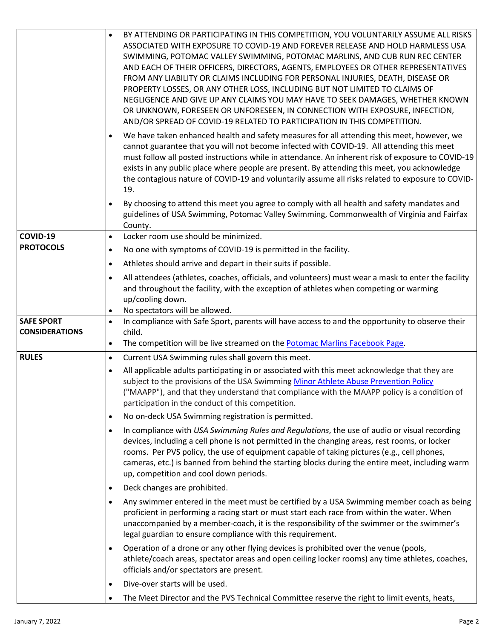|                       | BY ATTENDING OR PARTICIPATING IN THIS COMPETITION, YOU VOLUNTARILY ASSUME ALL RISKS<br>ASSOCIATED WITH EXPOSURE TO COVID-19 AND FOREVER RELEASE AND HOLD HARMLESS USA<br>SWIMMING, POTOMAC VALLEY SWIMMING, POTOMAC MARLINS, AND CUB RUN REC CENTER<br>AND EACH OF THEIR OFFICERS, DIRECTORS, AGENTS, EMPLOYEES OR OTHER REPRESENTATIVES<br>FROM ANY LIABILITY OR CLAIMS INCLUDING FOR PERSONAL INJURIES, DEATH, DISEASE OR<br>PROPERTY LOSSES, OR ANY OTHER LOSS, INCLUDING BUT NOT LIMITED TO CLAIMS OF<br>NEGLIGENCE AND GIVE UP ANY CLAIMS YOU MAY HAVE TO SEEK DAMAGES, WHETHER KNOWN<br>OR UNKNOWN, FORESEEN OR UNFORESEEN, IN CONNECTION WITH EXPOSURE, INFECTION,<br>AND/OR SPREAD OF COVID-19 RELATED TO PARTICIPATION IN THIS COMPETITION. |
|-----------------------|------------------------------------------------------------------------------------------------------------------------------------------------------------------------------------------------------------------------------------------------------------------------------------------------------------------------------------------------------------------------------------------------------------------------------------------------------------------------------------------------------------------------------------------------------------------------------------------------------------------------------------------------------------------------------------------------------------------------------------------------------|
|                       | We have taken enhanced health and safety measures for all attending this meet, however, we<br>$\bullet$<br>cannot guarantee that you will not become infected with COVID-19. All attending this meet<br>must follow all posted instructions while in attendance. An inherent risk of exposure to COVID-19<br>exists in any public place where people are present. By attending this meet, you acknowledge<br>the contagious nature of COVID-19 and voluntarily assume all risks related to exposure to COVID-<br>19.                                                                                                                                                                                                                                 |
|                       | By choosing to attend this meet you agree to comply with all health and safety mandates and<br>$\bullet$<br>guidelines of USA Swimming, Potomac Valley Swimming, Commonwealth of Virginia and Fairfax<br>County.                                                                                                                                                                                                                                                                                                                                                                                                                                                                                                                                     |
| COVID-19              | Locker room use should be minimized.<br>$\bullet$                                                                                                                                                                                                                                                                                                                                                                                                                                                                                                                                                                                                                                                                                                    |
| <b>PROTOCOLS</b>      | No one with symptoms of COVID-19 is permitted in the facility.<br>$\bullet$                                                                                                                                                                                                                                                                                                                                                                                                                                                                                                                                                                                                                                                                          |
|                       | Athletes should arrive and depart in their suits if possible.<br>$\bullet$                                                                                                                                                                                                                                                                                                                                                                                                                                                                                                                                                                                                                                                                           |
|                       | All attendees (athletes, coaches, officials, and volunteers) must wear a mask to enter the facility<br>$\bullet$<br>and throughout the facility, with the exception of athletes when competing or warming<br>up/cooling down.<br>No spectators will be allowed.<br>$\bullet$                                                                                                                                                                                                                                                                                                                                                                                                                                                                         |
|                       |                                                                                                                                                                                                                                                                                                                                                                                                                                                                                                                                                                                                                                                                                                                                                      |
| <b>SAFE SPORT</b>     | In compliance with Safe Sport, parents will have access to and the opportunity to observe their<br>$\bullet$                                                                                                                                                                                                                                                                                                                                                                                                                                                                                                                                                                                                                                         |
| <b>CONSIDERATIONS</b> | child.                                                                                                                                                                                                                                                                                                                                                                                                                                                                                                                                                                                                                                                                                                                                               |
|                       | The competition will be live streamed on the Potomac Marlins Facebook Page.<br>$\bullet$                                                                                                                                                                                                                                                                                                                                                                                                                                                                                                                                                                                                                                                             |
| <b>RULES</b>          | Current USA Swimming rules shall govern this meet.<br>$\bullet$                                                                                                                                                                                                                                                                                                                                                                                                                                                                                                                                                                                                                                                                                      |
|                       | All applicable adults participating in or associated with this meet acknowledge that they are<br>$\bullet$<br>subject to the provisions of the USA Swimming Minor Athlete Abuse Prevention Policy<br>("MAAPP"), and that they understand that compliance with the MAAPP policy is a condition of<br>participation in the conduct of this competition.                                                                                                                                                                                                                                                                                                                                                                                                |
|                       | No on-deck USA Swimming registration is permitted.<br>$\bullet$                                                                                                                                                                                                                                                                                                                                                                                                                                                                                                                                                                                                                                                                                      |
|                       | In compliance with USA Swimming Rules and Regulations, the use of audio or visual recording<br>$\bullet$<br>devices, including a cell phone is not permitted in the changing areas, rest rooms, or locker<br>rooms. Per PVS policy, the use of equipment capable of taking pictures (e.g., cell phones,<br>cameras, etc.) is banned from behind the starting blocks during the entire meet, including warm<br>up, competition and cool down periods.                                                                                                                                                                                                                                                                                                 |
|                       | Deck changes are prohibited.<br>$\bullet$                                                                                                                                                                                                                                                                                                                                                                                                                                                                                                                                                                                                                                                                                                            |
|                       | Any swimmer entered in the meet must be certified by a USA Swimming member coach as being<br>$\bullet$<br>proficient in performing a racing start or must start each race from within the water. When<br>unaccompanied by a member-coach, it is the responsibility of the swimmer or the swimmer's<br>legal guardian to ensure compliance with this requirement.                                                                                                                                                                                                                                                                                                                                                                                     |
|                       | Operation of a drone or any other flying devices is prohibited over the venue (pools,<br>$\bullet$<br>athlete/coach areas, spectator areas and open ceiling locker rooms) any time athletes, coaches,<br>officials and/or spectators are present.                                                                                                                                                                                                                                                                                                                                                                                                                                                                                                    |
|                       | Dive-over starts will be used.<br>$\bullet$                                                                                                                                                                                                                                                                                                                                                                                                                                                                                                                                                                                                                                                                                                          |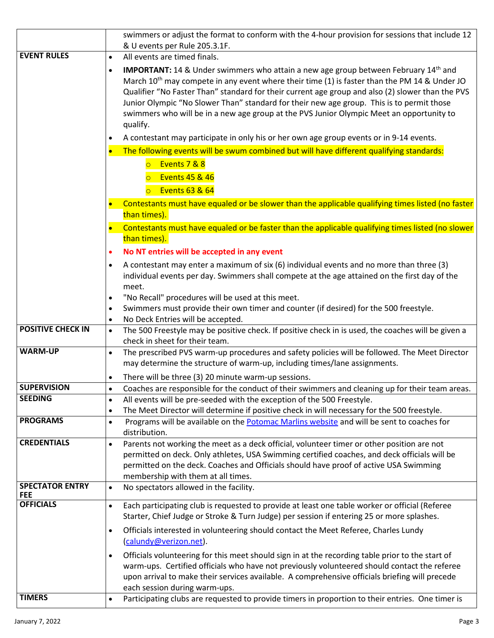|                                                                                                                                | swimmers or adjust the format to conform with the 4-hour provision for sessions that include 12                                                                                                                                                                                                                                                                                                                                                                                                                                          |  |  |  |
|--------------------------------------------------------------------------------------------------------------------------------|------------------------------------------------------------------------------------------------------------------------------------------------------------------------------------------------------------------------------------------------------------------------------------------------------------------------------------------------------------------------------------------------------------------------------------------------------------------------------------------------------------------------------------------|--|--|--|
| <b>EVENT RULES</b>                                                                                                             | & U events per Rule 205.3.1F.<br>All events are timed finals.<br>$\bullet$                                                                                                                                                                                                                                                                                                                                                                                                                                                               |  |  |  |
|                                                                                                                                |                                                                                                                                                                                                                                                                                                                                                                                                                                                                                                                                          |  |  |  |
|                                                                                                                                | <b>IMPORTANT:</b> 14 & Under swimmers who attain a new age group between February 14 <sup>th</sup> and<br>$\bullet$<br>March 10 <sup>th</sup> may compete in any event where their time (1) is faster than the PM 14 & Under JO<br>Qualifier "No Faster Than" standard for their current age group and also (2) slower than the PVS<br>Junior Olympic "No Slower Than" standard for their new age group. This is to permit those<br>swimmers who will be in a new age group at the PVS Junior Olympic Meet an opportunity to<br>qualify. |  |  |  |
|                                                                                                                                | A contestant may participate in only his or her own age group events or in 9-14 events.<br>$\bullet$                                                                                                                                                                                                                                                                                                                                                                                                                                     |  |  |  |
|                                                                                                                                | The following events will be swum combined but will have different qualifying standards:<br>$\bullet$                                                                                                                                                                                                                                                                                                                                                                                                                                    |  |  |  |
|                                                                                                                                | Events 7 & 8<br>$\overline{\circ}$<br><b>Events 45 &amp; 46</b>                                                                                                                                                                                                                                                                                                                                                                                                                                                                          |  |  |  |
|                                                                                                                                | Events $63 & 64$<br>$\Omega$                                                                                                                                                                                                                                                                                                                                                                                                                                                                                                             |  |  |  |
| Contestants must have equaled or be slower than the applicable qualifying times listed (no faster<br>$\bullet$<br>than times). |                                                                                                                                                                                                                                                                                                                                                                                                                                                                                                                                          |  |  |  |
|                                                                                                                                | Contestants must have equaled or be faster than the applicable qualifying times listed (no slower<br>$\bullet$<br>than times).                                                                                                                                                                                                                                                                                                                                                                                                           |  |  |  |
|                                                                                                                                | No NT entries will be accepted in any event<br>$\bullet$                                                                                                                                                                                                                                                                                                                                                                                                                                                                                 |  |  |  |
|                                                                                                                                | A contestant may enter a maximum of six (6) individual events and no more than three (3)<br>$\bullet$<br>individual events per day. Swimmers shall compete at the age attained on the first day of the<br>meet.                                                                                                                                                                                                                                                                                                                          |  |  |  |
|                                                                                                                                | "No Recall" procedures will be used at this meet.<br>$\bullet$                                                                                                                                                                                                                                                                                                                                                                                                                                                                           |  |  |  |
|                                                                                                                                | Swimmers must provide their own timer and counter (if desired) for the 500 freestyle.<br>$\bullet$                                                                                                                                                                                                                                                                                                                                                                                                                                       |  |  |  |
| <b>POSITIVE CHECK IN</b>                                                                                                       | No Deck Entries will be accepted.<br>$\bullet$<br>The 500 Freestyle may be positive check. If positive check in is used, the coaches will be given a                                                                                                                                                                                                                                                                                                                                                                                     |  |  |  |
|                                                                                                                                | $\bullet$<br>check in sheet for their team.                                                                                                                                                                                                                                                                                                                                                                                                                                                                                              |  |  |  |
| <b>WARM-UP</b>                                                                                                                 | The prescribed PVS warm-up procedures and safety policies will be followed. The Meet Director<br>$\bullet$                                                                                                                                                                                                                                                                                                                                                                                                                               |  |  |  |
|                                                                                                                                | may determine the structure of warm-up, including times/lane assignments.                                                                                                                                                                                                                                                                                                                                                                                                                                                                |  |  |  |
|                                                                                                                                | There will be three (3) 20 minute warm-up sessions.<br>$\bullet$                                                                                                                                                                                                                                                                                                                                                                                                                                                                         |  |  |  |
| <b>SUPERVISION</b><br><b>SEEDING</b>                                                                                           | Coaches are responsible for the conduct of their swimmers and cleaning up for their team areas.<br>$\bullet$<br>All events will be pre-seeded with the exception of the 500 Freestyle.                                                                                                                                                                                                                                                                                                                                                   |  |  |  |
|                                                                                                                                | $\bullet$<br>The Meet Director will determine if positive check in will necessary for the 500 freestyle.<br>$\bullet$                                                                                                                                                                                                                                                                                                                                                                                                                    |  |  |  |
| <b>PROGRAMS</b>                                                                                                                | Programs will be available on the Potomac Marlins website and will be sent to coaches for<br>$\bullet$                                                                                                                                                                                                                                                                                                                                                                                                                                   |  |  |  |
|                                                                                                                                | distribution.                                                                                                                                                                                                                                                                                                                                                                                                                                                                                                                            |  |  |  |
| <b>CREDENTIALS</b>                                                                                                             | Parents not working the meet as a deck official, volunteer timer or other position are not<br>$\bullet$<br>permitted on deck. Only athletes, USA Swimming certified coaches, and deck officials will be<br>permitted on the deck. Coaches and Officials should have proof of active USA Swimming<br>membership with them at all times.                                                                                                                                                                                                   |  |  |  |
| <b>SPECTATOR ENTRY</b><br><b>FEE</b>                                                                                           | No spectators allowed in the facility.<br>$\bullet$                                                                                                                                                                                                                                                                                                                                                                                                                                                                                      |  |  |  |
| <b>OFFICIALS</b>                                                                                                               | Each participating club is requested to provide at least one table worker or official (Referee<br>$\bullet$<br>Starter, Chief Judge or Stroke & Turn Judge) per session if entering 25 or more splashes.                                                                                                                                                                                                                                                                                                                                 |  |  |  |
|                                                                                                                                | Officials interested in volunteering should contact the Meet Referee, Charles Lundy<br>$\bullet$<br>(calundy@verizon.net).                                                                                                                                                                                                                                                                                                                                                                                                               |  |  |  |
|                                                                                                                                | Officials volunteering for this meet should sign in at the recording table prior to the start of<br>$\bullet$<br>warm-ups. Certified officials who have not previously volunteered should contact the referee                                                                                                                                                                                                                                                                                                                            |  |  |  |
|                                                                                                                                | upon arrival to make their services available. A comprehensive officials briefing will precede<br>each session during warm-ups.                                                                                                                                                                                                                                                                                                                                                                                                          |  |  |  |
| <b>TIMERS</b>                                                                                                                  | Participating clubs are requested to provide timers in proportion to their entries. One timer is<br>$\bullet$                                                                                                                                                                                                                                                                                                                                                                                                                            |  |  |  |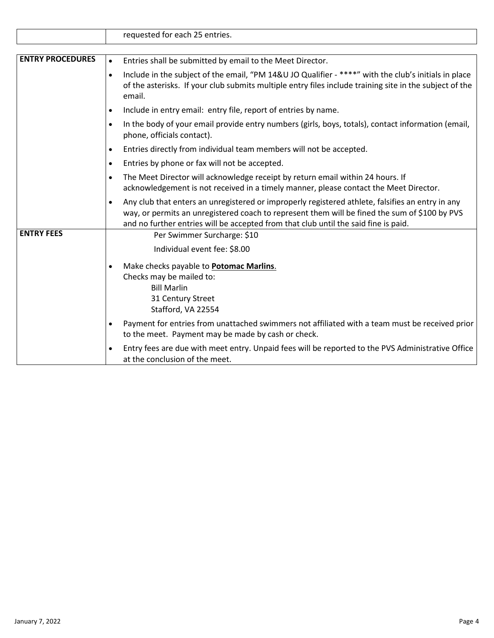|                         | requested for each 25 entries.                                                                                                                                                                                                                                                                        |  |  |
|-------------------------|-------------------------------------------------------------------------------------------------------------------------------------------------------------------------------------------------------------------------------------------------------------------------------------------------------|--|--|
|                         |                                                                                                                                                                                                                                                                                                       |  |  |
| <b>ENTRY PROCEDURES</b> | Entries shall be submitted by email to the Meet Director.<br>$\bullet$                                                                                                                                                                                                                                |  |  |
|                         | Include in the subject of the email, "PM 14&U JO Qualifier - ****" with the club's initials in place<br>$\bullet$<br>of the asterisks. If your club submits multiple entry files include training site in the subject of the<br>email.                                                                |  |  |
|                         | Include in entry email: entry file, report of entries by name.<br>$\bullet$                                                                                                                                                                                                                           |  |  |
|                         | In the body of your email provide entry numbers (girls, boys, totals), contact information (email,<br>$\bullet$<br>phone, officials contact).                                                                                                                                                         |  |  |
|                         | Entries directly from individual team members will not be accepted.<br>$\bullet$                                                                                                                                                                                                                      |  |  |
|                         | Entries by phone or fax will not be accepted.<br>$\bullet$                                                                                                                                                                                                                                            |  |  |
|                         | The Meet Director will acknowledge receipt by return email within 24 hours. If<br>$\bullet$<br>acknowledgement is not received in a timely manner, please contact the Meet Director.                                                                                                                  |  |  |
|                         | Any club that enters an unregistered or improperly registered athlete, falsifies an entry in any<br>$\bullet$<br>way, or permits an unregistered coach to represent them will be fined the sum of \$100 by PVS<br>and no further entries will be accepted from that club until the said fine is paid. |  |  |
| <b>ENTRY FEES</b>       | Per Swimmer Surcharge: \$10                                                                                                                                                                                                                                                                           |  |  |
|                         | Individual event fee: \$8.00                                                                                                                                                                                                                                                                          |  |  |
|                         | Make checks payable to <b>Potomac Marlins.</b><br>Checks may be mailed to:<br><b>Bill Marlin</b><br>31 Century Street<br>Stafford, VA 22554                                                                                                                                                           |  |  |
|                         | Payment for entries from unattached swimmers not affiliated with a team must be received prior<br>$\bullet$<br>to the meet. Payment may be made by cash or check.                                                                                                                                     |  |  |
|                         | Entry fees are due with meet entry. Unpaid fees will be reported to the PVS Administrative Office<br>$\bullet$<br>at the conclusion of the meet.                                                                                                                                                      |  |  |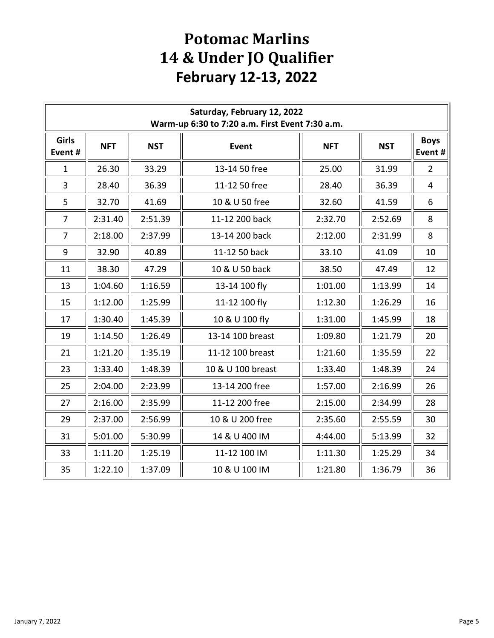## **Potomac Marlins 14 & Under JO Qualifier February 12-13, 2022**

| Saturday, February 12, 2022<br>Warm-up 6:30 to 7:20 a.m. First Event 7:30 a.m. |            |            |                   |            |            |                        |
|--------------------------------------------------------------------------------|------------|------------|-------------------|------------|------------|------------------------|
| Girls<br>Event#                                                                | <b>NFT</b> | <b>NST</b> | <b>Event</b>      | <b>NFT</b> | <b>NST</b> | <b>Boys</b><br>Event # |
| $\mathbf{1}$                                                                   | 26.30      | 33.29      | 13-14 50 free     | 25.00      | 31.99      | $\overline{2}$         |
| 3                                                                              | 28.40      | 36.39      | 11-12 50 free     | 28.40      | 36.39      | 4                      |
| 5                                                                              | 32.70      | 41.69      | 10 & U 50 free    | 32.60      | 41.59      | 6                      |
| $\overline{7}$                                                                 | 2:31.40    | 2:51.39    | 11-12 200 back    | 2:32.70    | 2:52.69    | 8                      |
| $\overline{7}$                                                                 | 2:18.00    | 2:37.99    | 13-14 200 back    | 2:12.00    | 2:31.99    | 8                      |
| 9                                                                              | 32.90      | 40.89      | 11-12 50 back     | 33.10      | 41.09      | 10                     |
| 11                                                                             | 38.30      | 47.29      | 10 & U 50 back    | 38.50      | 47.49      | 12                     |
| 13                                                                             | 1:04.60    | 1:16.59    | 13-14 100 fly     | 1:01.00    | 1:13.99    | 14                     |
| 15                                                                             | 1:12.00    | 1:25.99    | 11-12 100 fly     | 1:12.30    | 1:26.29    | 16                     |
| 17                                                                             | 1:30.40    | 1:45.39    | 10 & U 100 fly    | 1:31.00    | 1:45.99    | 18                     |
| 19                                                                             | 1:14.50    | 1:26.49    | 13-14 100 breast  | 1:09.80    | 1:21.79    | 20                     |
| 21                                                                             | 1:21.20    | 1:35.19    | 11-12 100 breast  | 1:21.60    | 1:35.59    | 22                     |
| 23                                                                             | 1:33.40    | 1:48.39    | 10 & U 100 breast | 1:33.40    | 1:48.39    | 24                     |
| 25                                                                             | 2:04.00    | 2:23.99    | 13-14 200 free    | 1:57.00    | 2:16.99    | 26                     |
| 27                                                                             | 2:16.00    | 2:35.99    | 11-12 200 free    | 2:15.00    | 2:34.99    | 28                     |
| 29                                                                             | 2:37.00    | 2:56.99    | 10 & U 200 free   | 2:35.60    | 2:55.59    | 30                     |
| 31                                                                             | 5:01.00    | 5:30.99    | 14 & U 400 IM     | 4:44.00    | 5:13.99    | 32                     |
| 33                                                                             | 1:11.20    | 1:25.19    | 11-12 100 IM      | 1:11.30    | 1:25.29    | 34                     |
| 35                                                                             | 1:22.10    | 1:37.09    | 10 & U 100 IM     | 1:21.80    | 1:36.79    | 36                     |